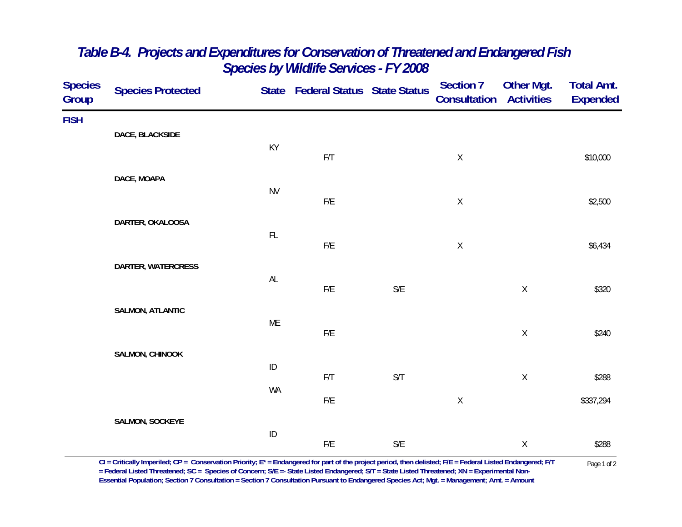| <b>Species</b><br>Group | <b>Species Protected</b> |               | State Federal Status State Status |                         | <b>Section 7</b><br><b>Consultation Activities</b> | Other Mgt.  | <b>Total Amt.</b><br><b>Expended</b> |
|-------------------------|--------------------------|---------------|-----------------------------------|-------------------------|----------------------------------------------------|-------------|--------------------------------------|
| <b>FISH</b>             | DACE, BLACKSIDE          |               |                                   |                         |                                                    |             |                                      |
|                         |                          | KY            | F/T                               |                         | $\mathsf X$                                        |             | \$10,000                             |
|                         | DACE, MOAPA              |               |                                   |                         |                                                    |             |                                      |
|                         |                          | <b>NV</b>     | ${\sf F/E}$                       |                         | $\mathsf X$                                        |             | \$2,500                              |
|                         | DARTER, OKALOOSA         | $\mathsf{FL}$ |                                   |                         |                                                    |             |                                      |
|                         |                          |               | ${\sf F/E}$                       |                         | $\mathsf X$                                        |             | \$6,434                              |
|                         | DARTER, WATERCRESS       | $\mathsf{AL}$ | $\mathsf{F}/\mathsf{E}$           | $\mathsf{S}/\mathsf{E}$ |                                                    | $\mathsf X$ | \$320                                |
|                         | <b>SALMON, ATLANTIC</b>  |               |                                   |                         |                                                    |             |                                      |
|                         |                          | ME            | $F/E$                             |                         |                                                    | $\mathsf X$ | \$240                                |
|                         | SALMON, CHINOOK          | $\sf ID$      |                                   |                         |                                                    |             |                                      |
|                         |                          | WA            | $\mathsf{F}/\mathsf{T}$           | $\mathsf{S}/\mathsf{T}$ |                                                    | $\mathsf X$ | \$288                                |
|                         |                          |               | $F/E$                             |                         | $\mathsf X$                                        |             | \$337,294                            |
|                         | SALMON, SOCKEYE          | $\sf ID$      |                                   |                         |                                                    |             |                                      |
|                         |                          |               | ${\sf F/E}$                       | $\mathsf{S}/\mathsf{E}$ |                                                    | $\mathsf X$ | \$288                                |

## *Table B-4. Projects and Expenditures for Conservation of Threatened and Endangered Fish Species by Wildlife Services - FY 2008*

CI = Critically Imperiled; CP = Conservation Priority; E\* = Endangered for part of the project period, then delisted; F/E = Federal Listed Endangered; F/T Page 1 of 2<br>= Federal Listed Threatened; SC = Species of Concern; **Essential Population; Section 7 Consultation = Section 7 Consultation Pursuant to Endangered Species Act; Mgt. = Management; Amt. = Amount**